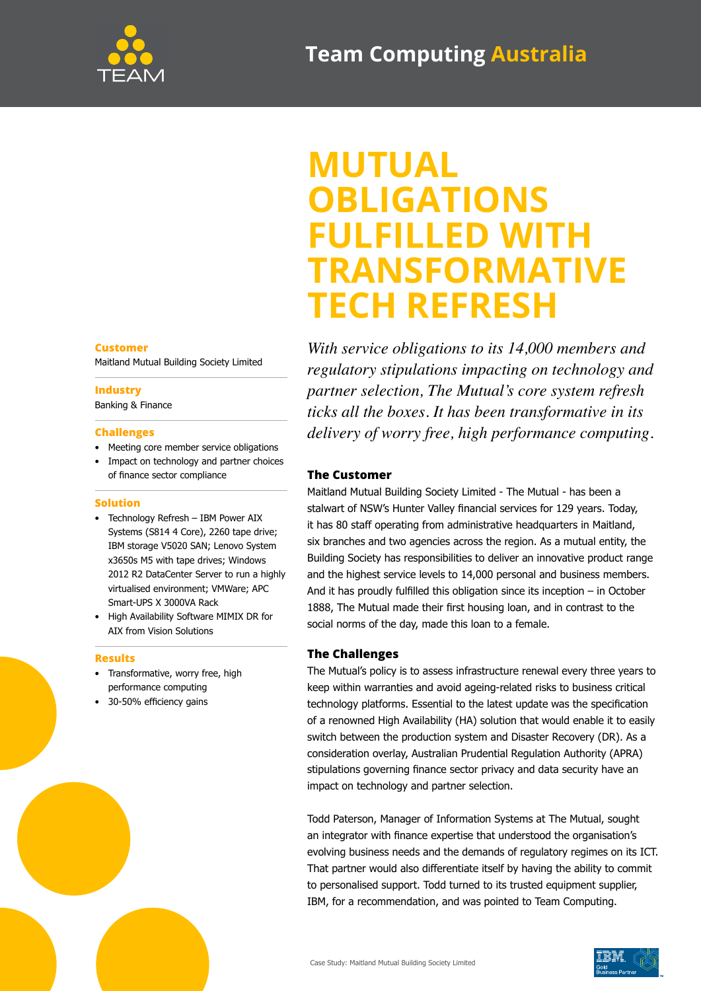

## **MUTUAL OBLIGATIONS FULFILLED WITH TRANSFORMATIVE TECH REFRESH**

*With service obligations to its 14,000 members and regulatory stipulations impacting on technology and partner selection, The Mutual's core system refresh ticks all the boxes. It has been transformative in its delivery of worry free, high performance computing.*

#### **The Customer**

Maitland Mutual Building Society Limited - The Mutual - has been a stalwart of NSW's Hunter Valley financial services for 129 years. Today, it has 80 staff operating from administrative headquarters in Maitland, six branches and two agencies across the region. As a mutual entity, the Building Society has responsibilities to deliver an innovative product range and the highest service levels to 14,000 personal and business members. And it has proudly fulfilled this obligation since its inception – in October 1888, The Mutual made their first housing loan, and in contrast to the social norms of the day, made this loan to a female.

#### **The Challenges**

The Mutual's policy is to assess infrastructure renewal every three years to keep within warranties and avoid ageing-related risks to business critical technology platforms. Essential to the latest update was the specification of a renowned High Availability (HA) solution that would enable it to easily switch between the production system and Disaster Recovery (DR). As a consideration overlay, Australian Prudential Regulation Authority (APRA) stipulations governing finance sector privacy and data security have an impact on technology and partner selection.

Todd Paterson, Manager of Information Systems at The Mutual, sought an integrator with finance expertise that understood the organisation's evolving business needs and the demands of regulatory regimes on its ICT. That partner would also differentiate itself by having the ability to commit to personalised support. Todd turned to its trusted equipment supplier, IBM, for a recommendation, and was pointed to Team Computing.

#### **Customer**

Maitland Mutual Building Society Limited

#### **Industry**

Banking & Finance

#### **Challenges**

- Meeting core member service obligations
- Impact on technology and partner choices of finance sector compliance

#### **Solution**

- Technology Refresh IBM Power AIX Systems (S814 4 Core), 2260 tape drive; IBM storage V5020 SAN; Lenovo System x3650s M5 with tape drives; Windows 2012 R2 DataCenter Server to run a highly virtualised environment; VMWare; APC Smart-UPS X 3000VA Rack
- High Availability Software MIMIX DR for AIX from Vision Solutions

#### **Results**

- Transformative, worry free, high performance computing
- 30-50% efficiency gains



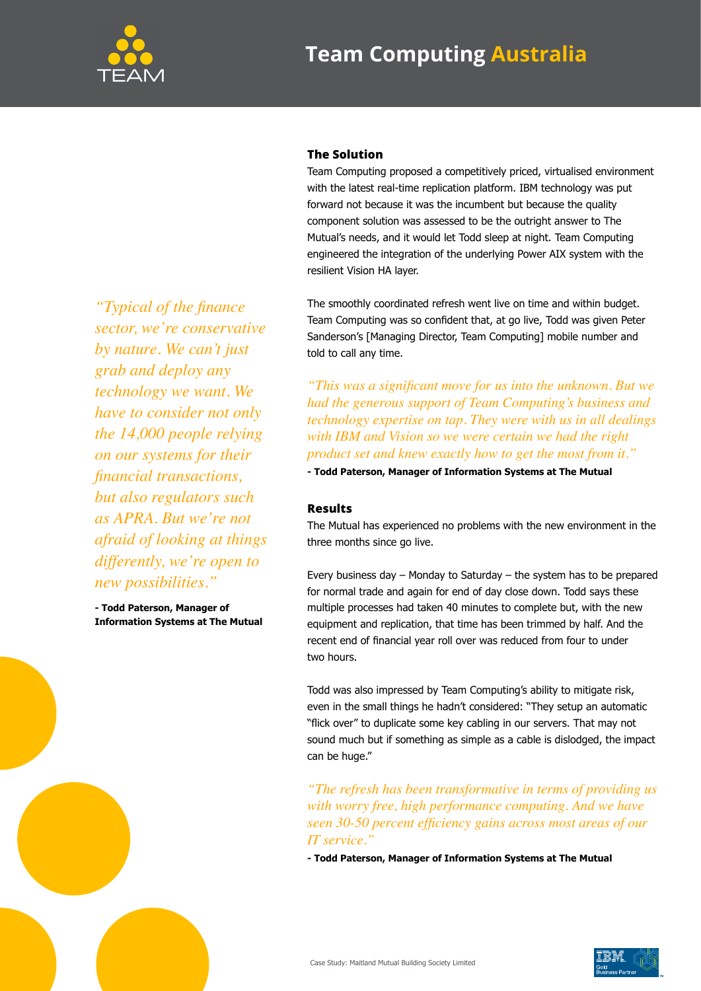

### **Team Computing Australia**

# with the latest real-time replication platform. IBM technology was put

**The Solution**

forward not because it was the incumbent but because the quality component solution was assessed to be the outright answer to The Mutual's needs, and it would let Todd sleep at night. Team Computing engineered the integration of the underlying Power AIX system with the resilient Vision HA layer.

Team Computing proposed a competitively priced, virtualised environment

The smoothly coordinated refresh went live on time and within budget. Team Computing was so confident that, at go live, Todd was given Peter Sanderson's [Managing Director, Team Computing] mobile number and told to call any time.

*"This was a significant move for us into the unknown. But we had the generous support of Team Computing's business and technology expertise on tap. They were with us in all dealings with IBM and Vision so we were certain we had the right product set and knew exactly how to get the most from it."*

**- Todd Paterson, Manager of Information Systems at The Mutual**

#### **Results**

The Mutual has experienced no problems with the new environment in the three months since go live.

Every business day – Monday to Saturday – the system has to be prepared for normal trade and again for end of day close down. Todd says these multiple processes had taken 40 minutes to complete but, with the new equipment and replication, that time has been trimmed by half. And the recent end of financial year roll over was reduced from four to under two hours.

Todd was also impressed by Team Computing's ability to mitigate risk, even in the small things he hadn't considered: "They setup an automatic "flick over" to duplicate some key cabling in our servers. That may not sound much but if something as simple as a cable is dislodged, the impact can be huge."

*"The refresh has been transformative in terms of providing us with worry free, high performance computing. And we have seen 30-50 percent efficiency gains across most areas of our IT service."*

**- Todd Paterson, Manager of Information Systems at The Mutual**

*"Typical of the finance sector, we're conservative by nature. We can't just grab and deploy any technology we want. We have to consider not only the 14,000 people relying on our systems for their financial transactions, but also regulators such as APRA. But we're not afraid of looking at things differently, we're open to new possibilities."*

**- Todd Paterson, Manager of Information Systems at The Mutual**